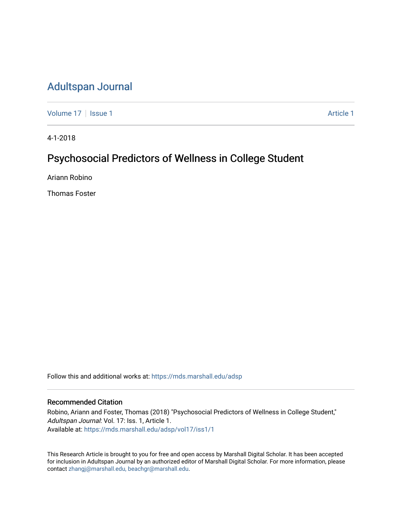## [Adultspan Journal](https://mds.marshall.edu/adsp)

[Volume 17](https://mds.marshall.edu/adsp/vol17) | [Issue 1](https://mds.marshall.edu/adsp/vol17/iss1) Article 1

4-1-2018

# Psychosocial Predictors of Wellness in College Student

Ariann Robino

Thomas Foster

Follow this and additional works at: [https://mds.marshall.edu/adsp](https://mds.marshall.edu/adsp?utm_source=mds.marshall.edu%2Fadsp%2Fvol17%2Fiss1%2F1&utm_medium=PDF&utm_campaign=PDFCoverPages) 

## Recommended Citation

Robino, Ariann and Foster, Thomas (2018) "Psychosocial Predictors of Wellness in College Student," Adultspan Journal: Vol. 17: Iss. 1, Article 1. Available at: [https://mds.marshall.edu/adsp/vol17/iss1/1](https://mds.marshall.edu/adsp/vol17/iss1/1?utm_source=mds.marshall.edu%2Fadsp%2Fvol17%2Fiss1%2F1&utm_medium=PDF&utm_campaign=PDFCoverPages) 

This Research Article is brought to you for free and open access by Marshall Digital Scholar. It has been accepted for inclusion in Adultspan Journal by an authorized editor of Marshall Digital Scholar. For more information, please contact [zhangj@marshall.edu, beachgr@marshall.edu](mailto:zhangj@marshall.edu,%20beachgr@marshall.edu).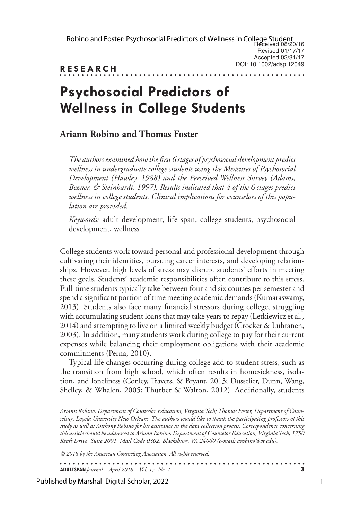## **RESEARCH**

# **Psychosocial Predictors of Wellness in College Students**

## **Ariann Robino and Thomas Foster**

*The authors examined how the first 6 stages of psychosocial development predict wellness in undergraduate college students using the Measures of Psychosocial Development (Hawley, 1988) and the Perceived Wellness Survey (Adams, Bezner, & Steinhardt, 1997). Results indicated that 4 of the 6 stages predict wellness in college students. Clinical implications for counselors of this population are provided.* 

*Keywords:* adult development, life span, college students, psychosocial development, wellness

College students work toward personal and professional development through cultivating their identities, pursuing career interests, and developing relationships. However, high levels of stress may disrupt students' efforts in meeting these goals. Students' academic responsibilities often contribute to this stress. Full-time students typically take between four and six courses per semester and spend a significant portion of time meeting academic demands (Kumaraswamy, 2013). Students also face many financial stressors during college, struggling with accumulating student loans that may take years to repay (Letkiewicz et al., 2014) and attempting to live on a limited weekly budget (Crocker & Luhtanen, 2003). In addition, many students work during college to pay for their current expenses while balancing their employment obligations with their academic commitments (Perna, 2010).

Typical life changes occurring during college add to student stress, such as the transition from high school, which often results in homesickness, isolation, and loneliness (Conley, Travers, & Bryant, 2013; Dusselier, Dunn, Wang, Shelley, & Whalen, 2005; Thurber & Walton, 2012). Additionally, students

*Ariann Robino, Department of Counselor Education, Virginia Tech; Thomas Foster, Department of Counseling, Loyola University New Orleans. The authors would like to thank the participating professors of this study as well as Anthony Robino for his assistance in the data collection process. Correspondence concerning this article should be addressed to Ariann Robino, Department of Counselor Education, Virginia Tech, 1750 Kraft Drive, Suite 2001, Mail Code 0302, Blacksburg, VA 24060 (e-mail: arobino@vt.edu).*

*© 2018 by the American Counseling Association. All rights reserved.*

**ADULTSPAN***Journal April 2018 Vol. 17 No. 1* **3**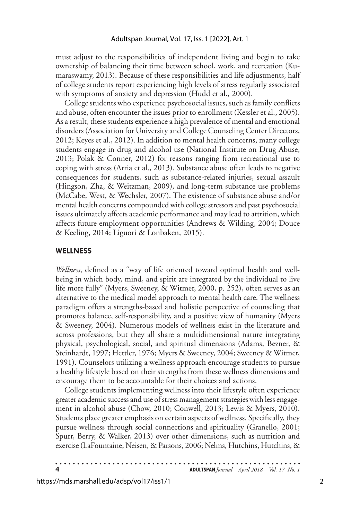must adjust to the responsibilities of independent living and begin to take ownership of balancing their time between school, work, and recreation (Kumaraswamy, 2013). Because of these responsibilities and life adjustments, half of college students report experiencing high levels of stress regularly associated with symptoms of anxiety and depression (Hudd et al., 2000).

College students who experience psychosocial issues, such as family conflicts and abuse, often encounter the issues prior to enrollment (Kessler et al., 2005). As a result, these students experience a high prevalence of mental and emotional disorders (Association for University and College Counseling Center Directors, 2012; Keyes et al., 2012). In addition to mental health concerns, many college students engage in drug and alcohol use (National Institute on Drug Abuse, 2013; Polak & Conner, 2012) for reasons ranging from recreational use to coping with stress (Arria et al., 2013). Substance abuse often leads to negative consequences for students, such as substance-related injuries, sexual assault (Hingson, Zha, & Weitzman, 2009), and long-term substance use problems (McCabe, West, & Wechsler, 2007). The existence of substance abuse and/or mental health concerns compounded with college stressors and past psychosocial issues ultimately affects academic performance and may lead to attrition, which affects future employment opportunities (Andrews & Wilding, 2004; Douce & Keeling, 2014; Liguori & Lonbaken, 2015).

#### **WELLNESS**

*Wellness*, defined as a "way of life oriented toward optimal health and wellbeing in which body, mind, and spirit are integrated by the individual to live life more fully" (Myers, Sweeney, & Witmer, 2000, p. 252), often serves as an alternative to the medical model approach to mental health care. The wellness paradigm offers a strengths-based and holistic perspective of counseling that promotes balance, self-responsibility, and a positive view of humanity (Myers & Sweeney, 2004). Numerous models of wellness exist in the literature and across professions, but they all share a multidimensional nature integrating physical, psychological, social, and spiritual dimensions (Adams, Bezner, & Steinhardt, 1997; Hettler, 1976; Myers & Sweeney, 2004; Sweeney & Witmer, 1991). Counselors utilizing a wellness approach encourage students to pursue a healthy lifestyle based on their strengths from these wellness dimensions and encourage them to be accountable for their choices and actions.

College students implementing wellness into their lifestyle often experience greater academic success and use of stress management strategies with less engagement in alcohol abuse (Chow, 2010; Conwell, 2013; Lewis & Myers, 2010). Students place greater emphasis on certain aspects of wellness. Specifically, they pursue wellness through social connections and spirituality (Granello, 2001; Spurr, Berry, & Walker, 2013) over other dimensions, such as nutrition and exercise (LaFountaine, Neisen, & Parsons, 2006; Nelms, Hutchins, Hutchins, &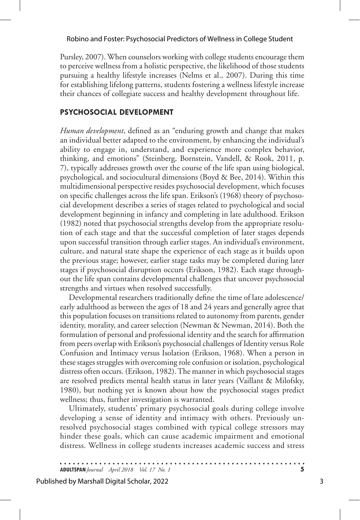Pursley, 2007). When counselors working with college students encourage them to perceive wellness from a holistic perspective, the likelihood of those students pursuing a healthy lifestyle increases (Nelms et al., 2007). During this time for establishing lifelong patterns, students fostering a wellness lifestyle increase their chances of collegiate success and healthy development throughout life.

## **PSYCHOSOCIAL DEVELOPMENT**

*Human development*, defined as an "enduring growth and change that makes an individual better adapted to the environment, by enhancing the individual's ability to engage in, understand, and experience more complex behavior, thinking, and emotions" (Steinberg, Bornstein, Vandell, & Rook, 2011, p. 7), typically addresses growth over the course of the life span using biological, psychological, and sociocultural dimensions (Boyd & Bee, 2014). Within this multidimensional perspective resides psychosocial development, which focuses on specific challenges across the life span. Erikson's (1968) theory of psychosocial development describes a series of stages related to psychological and social development beginning in infancy and completing in late adulthood. Erikson (1982) noted that psychosocial strengths develop from the appropriate resolution of each stage and that the successful completion of later stages depends upon successful transition through earlier stages. An individual's environment, culture, and natural state shape the experience of each stage as it builds upon the previous stage; however, earlier stage tasks may be completed during later stages if psychosocial disruption occurs (Erikson, 1982). Each stage throughout the life span contains developmental challenges that uncover psychosocial strengths and virtues when resolved successfully.

Developmental researchers traditionally define the time of late adolescence/ early adulthood as between the ages of 18 and 24 years and generally agree that this population focuses on transitions related to autonomy from parents, gender identity, morality, and career selection (Newman & Newman, 2014). Both the formulation of personal and professional identity and the search for affirmation from peers overlap with Erikson's psychosocial challenges of Identity versus Role Confusion and Intimacy versus Isolation (Erikson, 1968). When a person in these stages struggles with overcoming role confusion or isolation, psychological distress often occurs. (Erikson, 1982). The manner in which psychosocial stages are resolved predicts mental health status in later years (Vaillant & Milofsky, 1980), but nothing yet is known about how the psychosocial stages predict wellness; thus, further investigation is warranted.

Ultimately, students' primary psychosocial goals during college involve developing a sense of identity and intimacy with others. Previously unresolved psychosocial stages combined with typical college stressors may hinder these goals, which can cause academic impairment and emotional distress. Wellness in college students increases academic success and stress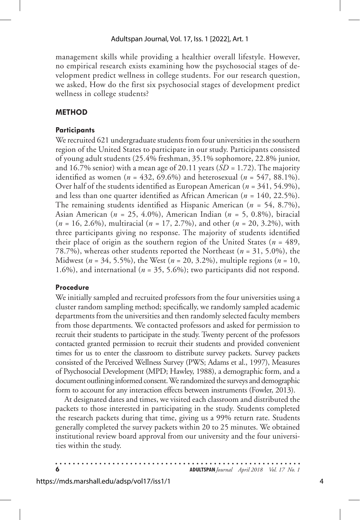management skills while providing a healthier overall lifestyle. However, no empirical research exists examining how the psychosocial stages of development predict wellness in college students. For our research question, we asked, How do the first six psychosocial stages of development predict wellness in college students?

## **METHOD**

#### **Participants**

We recruited 621 undergraduate students from four universities in the southern region of the United States to participate in our study. Participants consisted of young adult students (25.4% freshman, 35.1% sophomore, 22.8% junior, and 16.7% senior) with a mean age of 20.11 years (*SD =* 1.72). The majority identified as women ( $n = 432, 69.6\%$ ) and heterosexual ( $n = 547, 88.1\%$ ). Over half of the students identified as European American (*n =* 341, 54.9%), and less than one quarter identified as African American (*n =* 140, 22.5%). The remaining students identified as Hispanic American (*n =* 54, 8.7%), Asian American (*n =* 25, 4.0%), American Indian (*n =* 5, 0.8%), biracial (*n =* 16, 2.6%), multiracial (*n =* 17, 2.7%), and other (*n =* 20, 3.2%), with three participants giving no response. The majority of students identified their place of origin as the southern region of the United States ( $n = 489$ , 78.7%), whereas other students reported the Northeast (*n* = 31, 5.0%), the Midwest (*n* = 34, 5.5%), the West (*n* = 20, 3.2%), multiple regions (*n* = 10, 1.6%), and international (*n* = 35, 5.6%); two participants did not respond.

#### **Procedure**

We initially sampled and recruited professors from the four universities using a cluster random sampling method; specifically, we randomly sampled academic departments from the universities and then randomly selected faculty members from those departments. We contacted professors and asked for permission to recruit their students to participate in the study. Twenty percent of the professors contacted granted permission to recruit their students and provided convenient times for us to enter the classroom to distribute survey packets. Survey packets consisted of the Perceived Wellness Survey (PWS; Adams et al., 1997), Measures of Psychosocial Development (MPD; Hawley, 1988), a demographic form, and a document outlining informed consent. We randomized the surveys and demographic form to account for any interaction effects between instruments (Fowler, 2013).

At designated dates and times, we visited each classroom and distributed the packets to those interested in participating in the study. Students completed the research packets during that time, giving us a 99% return rate. Students generally completed the survey packets within 20 to 25 minutes. We obtained institutional review board approval from our university and the four universities within the study.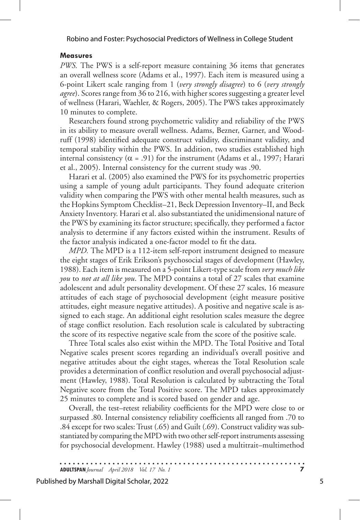#### **Measures**

*PWS*. The PWS is a self-report measure containing 36 items that generates an overall wellness score (Adams et al., 1997). Each item is measured using a 6-point Likert scale ranging from 1 (*very strongly disagree*) to 6 (*very strongly agree*). Scores range from 36 to 216, with higher scores suggesting a greater level of wellness (Harari, Waehler, & Rogers, 2005). The PWS takes approximately 10 minutes to complete.

Researchers found strong psychometric validity and reliability of the PWS in its ability to measure overall wellness. Adams, Bezner, Garner, and Woodruff (1998) identified adequate construct validity, discriminant validity, and temporal stability within the PWS. In addition, two studies established high internal consistency ( $\alpha$  = .91) for the instrument (Adams et al., 1997; Harari et al., 2005). Internal consistency for the current study was .90.

Harari et al. (2005) also examined the PWS for its psychometric properties using a sample of young adult participants. They found adequate criterion validity when comparing the PWS with other mental health measures, such as the Hopkins Symptom Checklist–21, Beck Depression Inventory–II, and Beck Anxiety Inventory. Harari et al. also substantiated the unidimensional nature of the PWS by examining its factor structure; specifically, they performed a factor analysis to determine if any factors existed within the instrument. Results of the factor analysis indicated a one-factor model to fit the data.

*MPD*. The MPD is a 112-item self-report instrument designed to measure the eight stages of Erik Erikson's psychosocial stages of development (Hawley, 1988). Each item is measured on a 5-point Likert-type scale from *very much like you* to *not at all like you*. The MPD contains a total of 27 scales that examine adolescent and adult personality development. Of these 27 scales, 16 measure attitudes of each stage of psychosocial development (eight measure positive attitudes, eight measure negative attitudes). A positive and negative scale is assigned to each stage. An additional eight resolution scales measure the degree of stage conflict resolution. Each resolution scale is calculated by subtracting the score of its respective negative scale from the score of the positive scale.

Three Total scales also exist within the MPD. The Total Positive and Total Negative scales present scores regarding an individual's overall positive and negative attitudes about the eight stages, whereas the Total Resolution scale provides a determination of conflict resolution and overall psychosocial adjustment (Hawley, 1988). Total Resolution is calculated by subtracting the Total Negative score from the Total Positive score. The MPD takes approximately 25 minutes to complete and is scored based on gender and age.

Overall, the test–retest reliability coefficients for the MPD were close to or surpassed .80. Internal consistency reliability coefficients all ranged from .70 to .84 except for two scales: Trust (.65) and Guilt (.69). Construct validity was substantiated by comparing the MPD with two other self-report instruments assessing for psychosocial development. Hawley (1988) used a multitrait–multimethod

**ADULTSPAN***Journal April 2018 Vol. 17 No. 1* **7**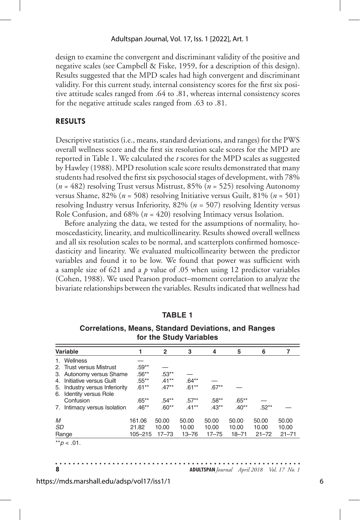#### Adultspan Journal, Vol. 17, Iss. 1 [2022], Art. 1

design to examine the convergent and discriminant validity of the positive and negative scales (see Campbell & Fiske, 1959, for a description of this design). Results suggested that the MPD scales had high convergent and discriminant validity. For this current study, internal consistency scores for the first six positive attitude scales ranged from .64 to .81, whereas internal consistency scores for the negative attitude scales ranged from .63 to .81.

#### **RESULTS**

Descriptive statistics (i.e., means, standard deviations, and ranges) for the PWS overall wellness score and the first six resolution scale scores for the MPD are reported in Table 1. We calculated the *t* scores for the MPD scales as suggested by Hawley (1988). MPD resolution scale score results demonstrated that many students had resolved the first six psychosocial stages of development, with 78% (*n* = 482) resolving Trust versus Mistrust, 85% (*n* = 525) resolving Autonomy versus Shame, 82% (*n* = 508) resolving Initiative versus Guilt, 81% (*n* = 501) resolving Industry versus Inferiority, 82% (*n* = 507) resolving Identity versus Role Confusion, and  $68\%$  ( $n = 420$ ) resolving Intimacy versus Isolation.

Before analyzing the data, we tested for the assumptions of normality, homoscedasticity, linearity, and multicollinearity. Results showed overall wellness and all six resolution scales to be normal, and scatterplots confirmed homoscedasticity and linearity. We evaluated multicollinearity between the predictor variables and found it to be low. We found that power was sufficient with a sample size of 621 and a *p* value of .05 when using 12 predictor variables (Cohen, 1988). We used Pearson product–moment correlation to analyze the bivariate relationships between the variables. Results indicated that wellness had

| Variable                                                                                                                                                                                                                    | 1                                                                 | $\mathbf{2}$                                         | 3                                        | 4                             | 5                           | 6                           | 7                           |
|-----------------------------------------------------------------------------------------------------------------------------------------------------------------------------------------------------------------------------|-------------------------------------------------------------------|------------------------------------------------------|------------------------------------------|-------------------------------|-----------------------------|-----------------------------|-----------------------------|
| Wellness<br>2. Trust versus Mistrust<br>Autonomy versus Shame<br>3.<br>Initiative versus Guilt<br>4.<br>Industry versus Inferiority<br>5.<br><b>Identity versus Role</b><br>6.<br>Confusion<br>7. Intimacy versus Isolation | $.59**$<br>$.56**$<br>$.55***$<br>$.61***$<br>$.65***$<br>$.46**$ | $.53**$<br>$.41**$<br>$.47**$<br>$.54***$<br>$.60**$ | $.64**$<br>$.61**$<br>$.57**$<br>$.41**$ | $.67**$<br>$.58**$<br>$.43**$ | $.65***$<br>$.40**$         | $.52**$                     |                             |
| M<br>SD<br>Range<br>** $p < .01$ .                                                                                                                                                                                          | 161.06<br>21.82<br>$105 - 215$                                    | 50.00<br>10.00<br>$17 - 73$                          | 50.00<br>10.00<br>$13 - 76$              | 50.00<br>10.00<br>$17 - 75$   | 50.00<br>10.00<br>$18 - 71$ | 50.00<br>10.00<br>$21 - 72$ | 50.00<br>10.00<br>$21 - 71$ |

#### **TABLE 1**

**Correlations, Means, Standard Deviations, and Ranges for the Study Variables**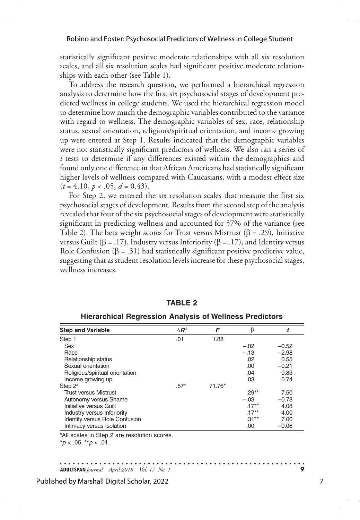statistically significant positive moderate relationships with all six resolution scales, and all six resolution scales had significant positive moderate relationships with each other (see Table 1).

To address the research question, we performed a hierarchical regression analysis to determine how the first six psychosocial stages of development predicted wellness in college students. We used the hierarchical regression model to determine how much the demographic variables contributed to the variance with regard to wellness. The demographic variables of sex, race, relationship status, sexual orientation, religious/spiritual orientation, and income growing up were entered at Step 1. Results indicated that the demographic variables were not statistically significant predictors of wellness. We also ran a series of *t* tests to determine if any differences existed within the demographics and found only one difference in that African Americans had statistically significant higher levels of wellness compared with Caucasians, with a modest effect size  $(t = 4.10, p < .05, d = 0.43).$ 

For Step 2, we entered the six resolution scales that measure the first six psychosocial stages of development. Results from the second step of the analysis revealed that four of the six psychosocial stages of development were statistically significant in predicting wellness and accounted for 57% of the variance (see Table 2). The beta weight scores for Trust versus Mistrust ( $\beta$  = .29), Initiative versus Guilt (β = .17), Industry versus Inferiority (β = .17), and Identity versus Role Confusion  $(\beta = .31)$  had statistically significant positive predictive value, suggesting that as student resolution levels increase for these psychosocial stages, wellness increases.

| <b>Step and Variable</b>              | $\triangle$ R <sup>2</sup> | F        | β        |         |
|---------------------------------------|----------------------------|----------|----------|---------|
| Step 1                                | .01                        | 1.88     |          |         |
| Sex                                   |                            |          | $-.02$   | $-0.52$ |
| Race                                  |                            |          | $-.13$   | $-2.98$ |
| Relationship status                   |                            |          | .02      | 0.55    |
| Sexual orientation                    |                            |          | .00      | $-0.21$ |
| Religious/spiritual orientation       |                            |          | .04      | 0.83    |
| Income growing up                     |                            |          | .03      | 0.74    |
| Step $2^a$                            | $.57*$                     | $71.76*$ |          |         |
| <b>Trust versus Mistrust</b>          |                            |          | $.29**$  | 7.50    |
| Autonomy versus Shame                 |                            |          | $-.03$   | $-0.78$ |
| Initiative versus Guilt               |                            |          | $.17***$ | 4.08    |
| Industry versus Inferiority           |                            |          | $.17***$ | 4.00    |
| <b>Identity versus Role Confusion</b> |                            |          | $.31**$  | 7.00    |
| Intimacy versus Isolation             |                            |          | .00      | $-0.06$ |

## **TABLE 2 Hierarchical Regression Analysis of Wellness Predictors**

\**p* < .05. \*\**p* < .01.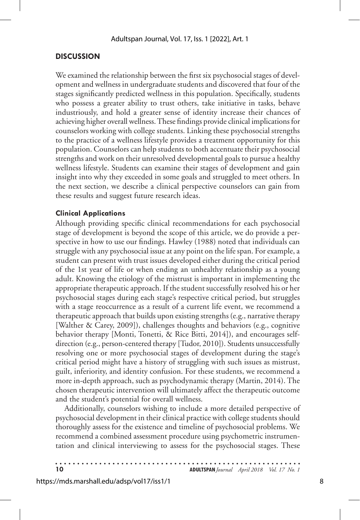## **DISCUSSION**

We examined the relationship between the first six psychosocial stages of development and wellness in undergraduate students and discovered that four of the stages significantly predicted wellness in this population. Specifically, students who possess a greater ability to trust others, take initiative in tasks, behave industriously, and hold a greater sense of identity increase their chances of achieving higher overall wellness. These findings provide clinical implications for counselors working with college students. Linking these psychosocial strengths to the practice of a wellness lifestyle provides a treatment opportunity for this population. Counselors can help students to both accentuate their psychosocial strengths and work on their unresolved developmental goals to pursue a healthy wellness lifestyle. Students can examine their stages of development and gain insight into why they exceeded in some goals and struggled to meet others. In the next section, we describe a clinical perspective counselors can gain from these results and suggest future research ideas.

## **Clinical Applications**

Although providing specific clinical recommendations for each psychosocial stage of development is beyond the scope of this article, we do provide a perspective in how to use our findings. Hawley (1988) noted that individuals can struggle with any psychosocial issue at any point on the life span. For example, a student can present with trust issues developed either during the critical period of the 1st year of life or when ending an unhealthy relationship as a young adult. Knowing the etiology of the mistrust is important in implementing the appropriate therapeutic approach. If the student successfully resolved his or her psychosocial stages during each stage's respective critical period, but struggles with a stage reoccurrence as a result of a current life event, we recommend a therapeutic approach that builds upon existing strengths (e.g., narrative therapy [Walther & Carey, 2009]), challenges thoughts and behaviors (e.g., cognitive behavior therapy [Monti, Tonetti, & Rice Bitti, 2014]), and encourages selfdirection (e.g., person-centered therapy [Tudor, 2010]). Students unsuccessfully resolving one or more psychosocial stages of development during the stage's critical period might have a history of struggling with such issues as mistrust, guilt, inferiority, and identity confusion. For these students, we recommend a more in-depth approach, such as psychodynamic therapy (Martin, 2014). The chosen therapeutic intervention will ultimately affect the therapeutic outcome and the student's potential for overall wellness.

Additionally, counselors wishing to include a more detailed perspective of psychosocial development in their clinical practice with college students should thoroughly assess for the existence and timeline of psychosocial problems. We recommend a combined assessment procedure using psychometric instrumentation and clinical interviewing to assess for the psychosocial stages. These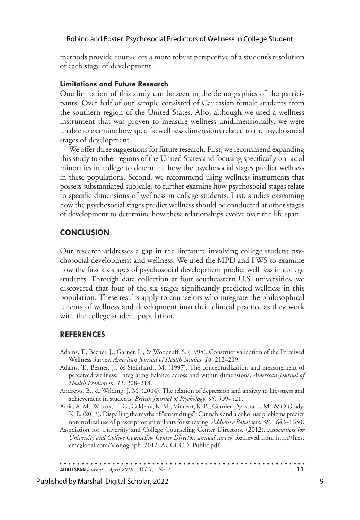methods provide counselors a more robust perspective of a student's resolution of each stage of development.

#### **Limitations and Future Research**

One limitation of this study can be seen in the demographics of the participants. Over half of our sample consisted of Caucasian female students from the southern region of the United States. Also, although we used a wellness instrument that was proven to measure wellness unidimensionally, we were unable to examine how specific wellness dimensions related to the psychosocial stages of development.

We offer three suggestions for future research. First, we recommend expanding this study to other regions of the United States and focusing specifically on racial minorities in college to determine how the psychosocial stages predict wellness in these populations. Second, we recommend using wellness instruments that possess substantiated subscales to further examine how psychosocial stages relate to specific dimensions of wellness in college students. Last, studies examining how the psychosocial stages predict wellness should be conducted at other stages of development to determine how these relationships evolve over the life span.

## **CONCLUSION**

Our research addresses a gap in the literature involving college student psychosocial development and wellness. We used the MPD and PWS to examine how the first six stages of psychosocial development predict wellness in college students. Through data collection at four southeastern U.S. universities, we discovered that four of the six stages significantly predicted wellness in this population. These results apply to counselors who integrate the philosophical tenents of wellness and development into their clinical practice as they work with the college student population.

#### **REFERENCES**

- Adams, T., Bezner, J., Garner, L., & Woodruff, S. (1998). Construct validation of the Perceived Wellness Survey. *American Journal of Health Studies, 14,* 212–219.
- Adams, T., Bezner, J., & Steinhardt, M. (1997). The conceptualization and measurement of perceived wellness: Integrating balance across and within dimensions. *American Journal of Health Promotion, 11,* 208–218.
- Andrews, B., & Wilding, J. M. (2004). The relation of depression and anxiety to life-stress and achievement in students. *British Journal of Psychology, 95,* 509–521.
- Arria, A. M., Wilcox, H. C., Caldeira, K. M., Vincent, K. B., Garnier-Dykstra, L. M., & O'Grady, K. E. (2013). Dispelling the myths of "smart drugs": Cannabis and alcohol use problems predict nonmedical use of prescription stimulants for studying. *Addictive Behaviors, 38,* 1643–1650.
- Association for University and College Counseling Center Directors. (2012). *Association for University and College Counseling Center Directors annual survey.* Retrieved from http://files. cmcglobal.com/Monograph\_2012\_AUCCCD\_Public.pdf

**ADULTSPAN***Journal April 2018 Vol. 17 No. 1* **11**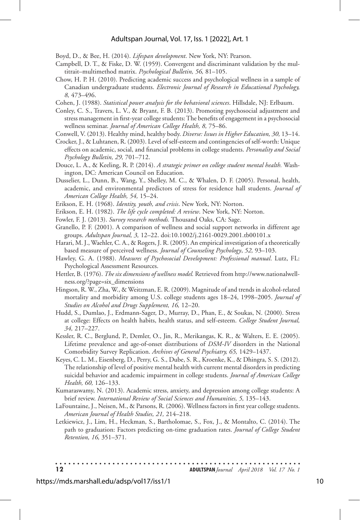#### Adultspan Journal, Vol. 17, Iss. 1 [2022], Art. 1

Boyd, D., & Bee, H. (2014). *Lifespan development*. New York, NY: Pearson.

- Campbell, D. T., & Fiske, D. W. (1959). Convergent and discriminant validation by the multitrait–multimethod matrix. *Psychological Bulletin, 56,* 81–105.
- Chow, H. P. H. (2010). Predicting academic success and psychological wellness in a sample of Canadian undergraduate students. *Electronic Journal of Research in Educational Psychology, 8,* 473–496.
- Cohen, J. (1988). *Statistical power analysis for the behavioral sciences*. Hillsdale, NJ: Erlbaum.
- Conley, C. S., Travers, L. V., & Bryant, F. B. (2013). Promoting psychosocial adjustment and stress management in first-year college students: The benefits of engagement in a psychosocial wellness seminar. *Journal of American College Health, 8,* 75–86.
- Conwell, V. (2013). Healthy mind, healthy body. *Diverse: Issues in Higher Education, 30,* 13–14.
- Crocker, J., & Luhtanen, R. (2003). Level of self-esteem and contingencies of self-worth: Unique effects on academic, social, and financial problems in college students. *Personality and Social Psychology Bulletin, 29,* 701–712.
- Douce, L. A., & Keeling, R. P. (2014). *A strategic primer on college student mental health.* Washington, DC: American Council on Education.
- Dusselier, L., Dunn, B., Wang, Y., Shelley, M. C., & Whalen, D. F. (2005). Personal, health, academic, and environmental predictors of stress for residence hall students. *Journal of American College Health, 54,* 15–24.
- Erikson, E. H. (1968). *Identity, youth, and crisis*. New York, NY: Norton.
- Erikson, E. H. (1982). *The life cycle completed: A review*. New York, NY: Norton.
- Fowler, F. J. (2013). *Survey research methods.* Thousand Oaks, CA: Sage.
- Granello, P. F. (2001). A comparison of wellness and social support networks in different age groups. *Adultspan Journal, 3,* 12–22. doi:10.1002/j.2161-0029.2001.tb00101.x
- Harari, M. J., Waehler, C. A., & Rogers, J. R. (2005). An empirical investigation of a theoretically based measure of perceived wellness. *Journal of Counseling Psychology*, *52,* 93–103.
- Hawley, G. A. (1988). *Measures of Psychosocial Development: Professional manual*. Lutz, FL: Psychological Assessment Resources.
- Hettler, B. (1976). *The six dimensions of wellness model.* Retrieved from http://www.nationalwellness.org/?page=six\_dimensions
- Hingson, R. W., Zha, W., & Weitzman, E. R. (2009). Magnitude of and trends in alcohol-related mortality and morbidity among U.S. college students ages 18–24, 1998–2005. *Journal of Studies on Alcohol and Drugs Supplement, 16,* 12–20.
- Hudd, S., Dumlao, J., Erdmann-Sager, D., Murray, D., Phan, E., & Soukas, N. (2000). Stress at college: Effects on health habits, health status, and self-esteem. *College Student Journal, 34,* 217–227.
- Kessler, R. C., Berglund, P., Demler, O., Jin, R., Merikangas, K. R., & Walters, E. E. (2005). Lifetime prevalence and age-of-onset distributions of *DSM-IV* disorders in the National Comorbidity Survey Replication. *Archives of General Psychiatry, 65,* 1429–1437.
- Keyes, C. L. M., Eisenberg, D., Perry, G. S., Dube, S. R., Kroenke, K., & Dhingra, S. S. (2012). The relationship of level of positive mental health with current mental disorders in predicting suicidal behavior and academic impairment in college students. *Journal of American College Health, 60,* 126–133.
- Kumaraswamy, N. (2013). Academic stress, anxiety, and depression among college students: A brief review. *International Review of Social Sciences and Humanities, 5,* 135–143.
- LaFountaine, J., Neisen, M., & Parsons, R. (2006). Wellness factors in first year college students. *American Journal of Health Studies, 21,* 214–218.
- Letkiewicz, J., Lim, H., Heckman, S., Bartholomae, S., Fox, J., & Montalto, C. (2014). The path to graduation: Factors predicting on-time graduation rates. *Journal of College Student Retention, 16,* 351–371.